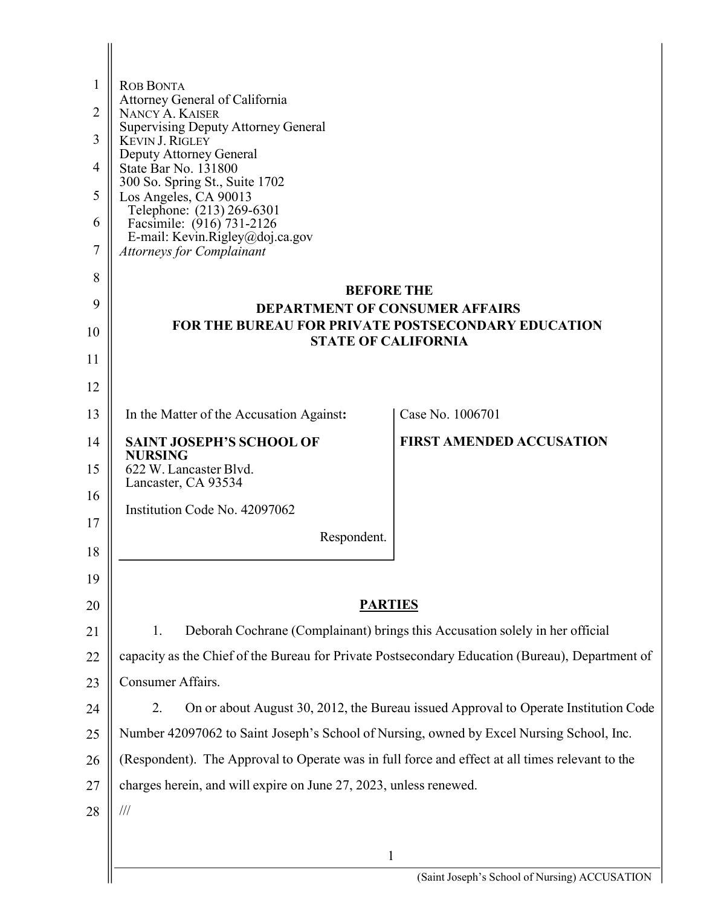| Attorney General of California                                                                  |                                                                                                                                                                                                                                                                                                                                             |
|-------------------------------------------------------------------------------------------------|---------------------------------------------------------------------------------------------------------------------------------------------------------------------------------------------------------------------------------------------------------------------------------------------------------------------------------------------|
| <b>Supervising Deputy Attorney General</b>                                                      |                                                                                                                                                                                                                                                                                                                                             |
| Deputy Attorney General                                                                         |                                                                                                                                                                                                                                                                                                                                             |
|                                                                                                 |                                                                                                                                                                                                                                                                                                                                             |
| Los Angeles, CA 90013                                                                           |                                                                                                                                                                                                                                                                                                                                             |
|                                                                                                 |                                                                                                                                                                                                                                                                                                                                             |
| <b>Attorneys for Complainant</b>                                                                |                                                                                                                                                                                                                                                                                                                                             |
|                                                                                                 |                                                                                                                                                                                                                                                                                                                                             |
| <b>BEFORE THE</b><br><b>DEPARTMENT OF CONSUMER AFFAIRS</b>                                      |                                                                                                                                                                                                                                                                                                                                             |
| <b>FOR THE BUREAU FOR PRIVATE POSTSECONDARY EDUCATION</b>                                       |                                                                                                                                                                                                                                                                                                                                             |
|                                                                                                 |                                                                                                                                                                                                                                                                                                                                             |
|                                                                                                 |                                                                                                                                                                                                                                                                                                                                             |
| In the Matter of the Accusation Against:                                                        | Case No. 1006701                                                                                                                                                                                                                                                                                                                            |
| <b>SAINT JOSEPH'S SCHOOL OF</b>                                                                 | <b>FIRST AMENDED ACCUSATION</b>                                                                                                                                                                                                                                                                                                             |
| 622 W. Lancaster Blvd.                                                                          |                                                                                                                                                                                                                                                                                                                                             |
|                                                                                                 |                                                                                                                                                                                                                                                                                                                                             |
|                                                                                                 |                                                                                                                                                                                                                                                                                                                                             |
|                                                                                                 |                                                                                                                                                                                                                                                                                                                                             |
|                                                                                                 |                                                                                                                                                                                                                                                                                                                                             |
| <b>PARTIES</b>                                                                                  |                                                                                                                                                                                                                                                                                                                                             |
| Deborah Cochrane (Complainant) brings this Accusation solely in her official<br>1.              |                                                                                                                                                                                                                                                                                                                                             |
| capacity as the Chief of the Bureau for Private Postsecondary Education (Bureau), Department of |                                                                                                                                                                                                                                                                                                                                             |
| Consumer Affairs.                                                                               |                                                                                                                                                                                                                                                                                                                                             |
| 2.                                                                                              | On or about August 30, 2012, the Bureau issued Approval to Operate Institution Code                                                                                                                                                                                                                                                         |
| Number 42097062 to Saint Joseph's School of Nursing, owned by Excel Nursing School, Inc.        |                                                                                                                                                                                                                                                                                                                                             |
| (Respondent). The Approval to Operate was in full force and effect at all times relevant to the |                                                                                                                                                                                                                                                                                                                                             |
| charges herein, and will expire on June 27, 2023, unless renewed.                               |                                                                                                                                                                                                                                                                                                                                             |
| $\frac{1}{1}$                                                                                   |                                                                                                                                                                                                                                                                                                                                             |
|                                                                                                 |                                                                                                                                                                                                                                                                                                                                             |
| $\mathbf{1}$                                                                                    | (Saint Joseph's School of Nursing) ACCUSATION                                                                                                                                                                                                                                                                                               |
|                                                                                                 | <b>ROB BONTA</b><br>NANCY A. KAISER<br><b>KEVIN J. RIGLEY</b><br>State Bar No. 131800<br>300 So. Spring St., Suite 1702<br>Telephone: (213) 269-6301<br>Facsimile: (916) 731-2126<br>E-mail: Kevin.Rigley@doj.ca.gov<br><b>STATE OF CALIFORNIA</b><br><b>NURSING</b><br>Lancaster, CA 93534<br>Institution Code No. 42097062<br>Respondent. |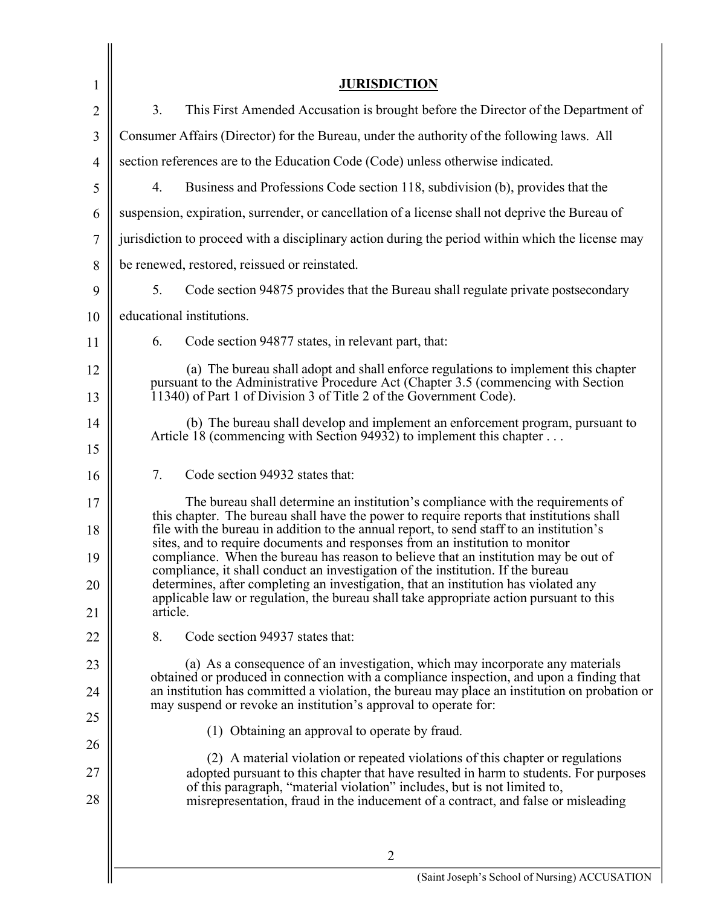| 1              | <b>JURISDICTION</b>                                                                                                                                                                                                                                                  |
|----------------|----------------------------------------------------------------------------------------------------------------------------------------------------------------------------------------------------------------------------------------------------------------------|
| $\overline{2}$ | 3.<br>This First Amended Accusation is brought before the Director of the Department of                                                                                                                                                                              |
| 3              | Consumer Affairs (Director) for the Bureau, under the authority of the following laws. All                                                                                                                                                                           |
| $\overline{4}$ | section references are to the Education Code (Code) unless otherwise indicated.                                                                                                                                                                                      |
| 5              | Business and Professions Code section 118, subdivision (b), provides that the<br>4.                                                                                                                                                                                  |
| 6              | suspension, expiration, surrender, or cancellation of a license shall not deprive the Bureau of                                                                                                                                                                      |
| 7              | jurisdiction to proceed with a disciplinary action during the period within which the license may                                                                                                                                                                    |
| 8              | be renewed, restored, reissued or reinstated.                                                                                                                                                                                                                        |
| 9              | 5.<br>Code section 94875 provides that the Bureau shall regulate private postsecondary                                                                                                                                                                               |
| 10             | educational institutions.                                                                                                                                                                                                                                            |
| 11             | 6.<br>Code section 94877 states, in relevant part, that:                                                                                                                                                                                                             |
| 12             | (a) The bureau shall adopt and shall enforce regulations to implement this chapter                                                                                                                                                                                   |
| 13             | pursuant to the Administrative Procedure Act (Chapter 3.5 (commencing with Section<br>11340) of Part 1 of Division 3 of Title 2 of the Government Code).                                                                                                             |
| 14             | (b) The bureau shall develop and implement an enforcement program, pursuant to<br>Article 18 (commencing with Section 94932) to implement this chapter                                                                                                               |
| 15             |                                                                                                                                                                                                                                                                      |
| 16             | Code section 94932 states that:<br>7.                                                                                                                                                                                                                                |
| 17             | The bureau shall determine an institution's compliance with the requirements of                                                                                                                                                                                      |
| 18             | this chapter. The bureau shall have the power to require reports that institutions shall<br>file with the bureau in addition to the annual report, to send staff to an institution's<br>sites, and to require documents and responses from an institution to monitor |
| 19             | compliance. When the bureau has reason to believe that an institution may be out of<br>compliance, it shall conduct an investigation of the institution. If the bureau                                                                                               |
| 20             | determines, after completing an investigation, that an institution has violated any<br>applicable law or regulation, the bureau shall take appropriate action pursuant to this                                                                                       |
| 21             | article.                                                                                                                                                                                                                                                             |
| 22             | 8.<br>Code section 94937 states that:                                                                                                                                                                                                                                |
| 23             | (a) As a consequence of an investigation, which may incorporate any materials                                                                                                                                                                                        |
| 24             | obtained or produced in connection with a compliance inspection, and upon a finding that<br>an institution has committed a violation, the bureau may place an institution on probation or                                                                            |
| 25             | may suspend or revoke an institution's approval to operate for:                                                                                                                                                                                                      |
| 26             | (1) Obtaining an approval to operate by fraud.                                                                                                                                                                                                                       |
| 27             | (2) A material violation or repeated violations of this chapter or regulations<br>adopted pursuant to this chapter that have resulted in harm to students. For purposes                                                                                              |
| 28             | of this paragraph, "material violation" includes, but is not limited to,<br>misrepresentation, fraud in the inducement of a contract, and false or misleading                                                                                                        |
|                |                                                                                                                                                                                                                                                                      |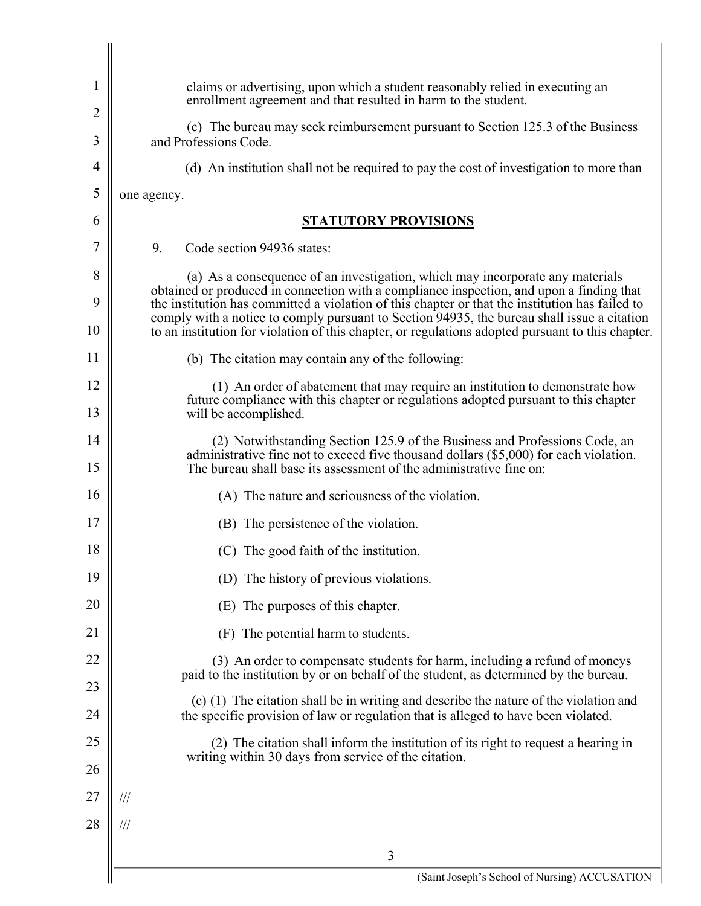| 1        | claims or advertising, upon which a student reasonably relied in executing an<br>enrollment agreement and that resulted in harm to the student.                                                                                                                                                                                                                                                 |
|----------|-------------------------------------------------------------------------------------------------------------------------------------------------------------------------------------------------------------------------------------------------------------------------------------------------------------------------------------------------------------------------------------------------|
| 2<br>3   | (c) The bureau may seek reimbursement pursuant to Section 125.3 of the Business<br>and Professions Code.                                                                                                                                                                                                                                                                                        |
| 4        | (d) An institution shall not be required to pay the cost of investigation to more than                                                                                                                                                                                                                                                                                                          |
| 5        | one agency.                                                                                                                                                                                                                                                                                                                                                                                     |
| 6        | <b>STATUTORY PROVISIONS</b>                                                                                                                                                                                                                                                                                                                                                                     |
| 7        | 9.<br>Code section 94936 states:                                                                                                                                                                                                                                                                                                                                                                |
| 8        | (a) As a consequence of an investigation, which may incorporate any materials                                                                                                                                                                                                                                                                                                                   |
| 9<br>10  | obtained or produced in connection with a compliance inspection, and upon a finding that<br>the institution has committed a violation of this chapter or that the institution has failed to<br>comply with a notice to comply pursuant to Section 94935, the bureau shall issue a citation<br>to an institution for violation of this chapter, or regulations adopted pursuant to this chapter. |
| 11       | (b) The citation may contain any of the following:                                                                                                                                                                                                                                                                                                                                              |
| 12       | (1) An order of abatement that may require an institution to demonstrate how                                                                                                                                                                                                                                                                                                                    |
| 13       | future compliance with this chapter or regulations adopted pursuant to this chapter<br>will be accomplished.                                                                                                                                                                                                                                                                                    |
| 14<br>15 | (2) Notwithstanding Section 125.9 of the Business and Professions Code, an<br>administrative fine not to exceed five thousand dollars (\$5,000) for each violation.<br>The bureau shall base its assessment of the administrative fine on:                                                                                                                                                      |
| 16       | (A) The nature and seriousness of the violation.                                                                                                                                                                                                                                                                                                                                                |
| 17       | (B) The persistence of the violation.                                                                                                                                                                                                                                                                                                                                                           |
| 18       | (C) The good faith of the institution.                                                                                                                                                                                                                                                                                                                                                          |
| 19       | (D) The history of previous violations.                                                                                                                                                                                                                                                                                                                                                         |
| 20       | (E) The purposes of this chapter.                                                                                                                                                                                                                                                                                                                                                               |
| 21       | The potential harm to students.<br>(F)                                                                                                                                                                                                                                                                                                                                                          |
| 22       | (3) An order to compensate students for harm, including a refund of moneys                                                                                                                                                                                                                                                                                                                      |
| 23       | paid to the institution by or on behalf of the student, as determined by the bureau.                                                                                                                                                                                                                                                                                                            |
| 24       | (c) (1) The citation shall be in writing and describe the nature of the violation and<br>the specific provision of law or regulation that is alleged to have been violated.                                                                                                                                                                                                                     |
| 25       | (2) The citation shall inform the institution of its right to request a hearing in<br>writing within 30 days from service of the citation.                                                                                                                                                                                                                                                      |
| 26       |                                                                                                                                                                                                                                                                                                                                                                                                 |
| 27       | ///                                                                                                                                                                                                                                                                                                                                                                                             |
| 28       | ///                                                                                                                                                                                                                                                                                                                                                                                             |
|          | 3                                                                                                                                                                                                                                                                                                                                                                                               |
|          | (Saint Joseph's School of Nursing) ACCUSATION                                                                                                                                                                                                                                                                                                                                                   |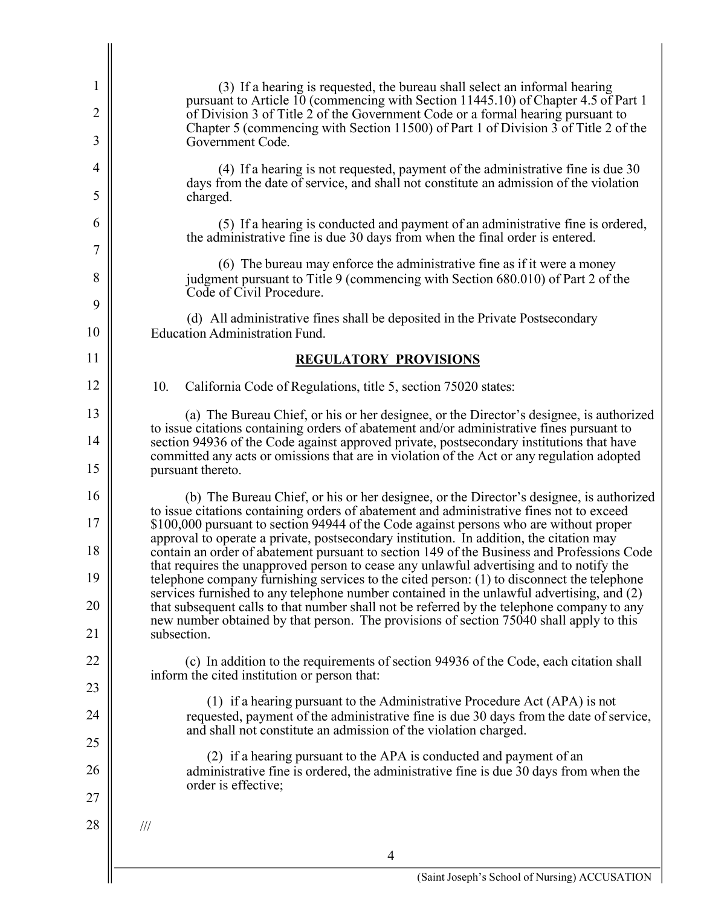| $\mathbf{1}$   | (3) If a hearing is requested, the bureau shall select an informal hearing                                                                                                                                                                                                          |
|----------------|-------------------------------------------------------------------------------------------------------------------------------------------------------------------------------------------------------------------------------------------------------------------------------------|
| $\overline{2}$ | pursuant to Article 10 (commencing with Section 11445.10) of Chapter 4.5 of Part 1<br>of Division 3 of Title 2 of the Government Code or a formal hearing pursuant to                                                                                                               |
| 3              | Chapter 5 (commencing with Section 11500) of Part 1 of Division 3 of Title 2 of the<br>Government Code.                                                                                                                                                                             |
| $\overline{4}$ | $(4)$ If a hearing is not requested, payment of the administrative fine is due 30<br>days from the date of service, and shall not constitute an admission of the violation                                                                                                          |
| 5              | charged.                                                                                                                                                                                                                                                                            |
| 6              | (5) If a hearing is conducted and payment of an administrative fine is ordered,<br>the administrative fine is due 30 days from when the final order is entered.                                                                                                                     |
| 7              | (6) The bureau may enforce the administrative fine as if it were a money                                                                                                                                                                                                            |
| 8<br>9         | judgment pursuant to Title 9 (commencing with Section 680.010) of Part 2 of the<br>Code of Civil Procedure.                                                                                                                                                                         |
| 10             | (d) All administrative fines shall be deposited in the Private Postsecondary<br><b>Education Administration Fund.</b>                                                                                                                                                               |
| 11             | <b>REGULATORY PROVISIONS</b>                                                                                                                                                                                                                                                        |
| 12             | 10.<br>California Code of Regulations, title 5, section 75020 states:                                                                                                                                                                                                               |
| 13             | (a) The Bureau Chief, or his or her designee, or the Director's designee, is authorized<br>to issue citations containing orders of abatement and/or administrative fines pursuant to                                                                                                |
| 14             | section 94936 of the Code against approved private, postsecondary institutions that have<br>committed any acts or omissions that are in violation of the Act or any regulation adopted                                                                                              |
| 15             | pursuant thereto.                                                                                                                                                                                                                                                                   |
| 16             | (b) The Bureau Chief, or his or her designee, or the Director's designee, is authorized<br>to issue citations containing orders of abatement and administrative fines not to exceed                                                                                                 |
| 17<br>18       | \$100,000 pursuant to section 94944 of the Code against persons who are without proper<br>approval to operate a private, postsecondary institution. In addition, the citation may                                                                                                   |
| 19             | contain an order of abatement pursuant to section 149 of the Business and Professions Code<br>that requires the unapproved person to cease any unlawful advertising and to notify the<br>telephone company furnishing services to the cited person: (1) to disconnect the telephone |
| 20             | services furnished to any telephone number contained in the unlawful advertising, and (2)<br>that subsequent calls to that number shall not be referred by the telephone company to any                                                                                             |
| 21             | new number obtained by that person. The provisions of section 75040 shall apply to this<br>subsection.                                                                                                                                                                              |
| 22             | (c) In addition to the requirements of section 94936 of the Code, each citation shall                                                                                                                                                                                               |
| 23             | inform the cited institution or person that:                                                                                                                                                                                                                                        |
| 24             | (1) if a hearing pursuant to the Administrative Procedure Act (APA) is not<br>requested, payment of the administrative fine is due 30 days from the date of service,<br>and shall not constitute an admission of the violation charged.                                             |
| 25             | (2) if a hearing pursuant to the APA is conducted and payment of an                                                                                                                                                                                                                 |
| 26             | administrative fine is ordered, the administrative fine is due 30 days from when the<br>order is effective;                                                                                                                                                                         |
| 27             |                                                                                                                                                                                                                                                                                     |
| 28             | $\frac{1}{2}$                                                                                                                                                                                                                                                                       |
|                | 4                                                                                                                                                                                                                                                                                   |

 $\mathbb{I}$ 

 $\mathsf{l}$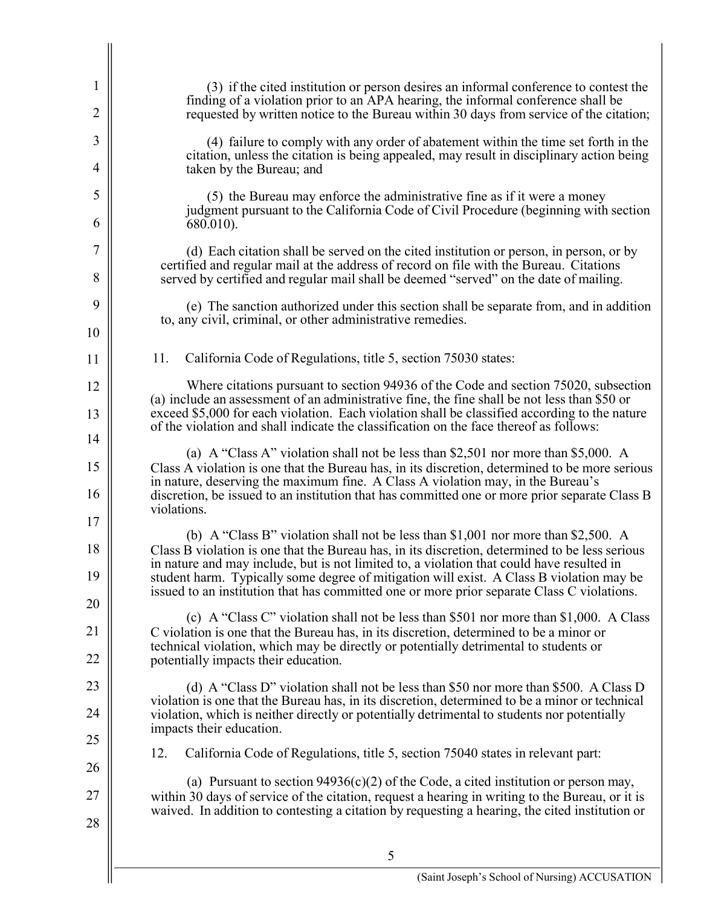| $\mathbf{1}$<br>$\overline{2}$ | (3) if the cited institution or person desires an informal conference to contest the<br>finding of a violation prior to an APA hearing, the informal conference shall be<br>requested by written notice to the Bureau within 30 days from service of the citation;                                                                                                             |
|--------------------------------|--------------------------------------------------------------------------------------------------------------------------------------------------------------------------------------------------------------------------------------------------------------------------------------------------------------------------------------------------------------------------------|
| 3<br>4                         | (4) failure to comply with any order of abatement within the time set forth in the<br>citation, unless the citation is being appealed, may result in disciplinary action being<br>taken by the Bureau; and                                                                                                                                                                     |
| 5                              | (5) the Bureau may enforce the administrative fine as if it were a money<br>judgment pursuant to the California Code of Civil Procedure (beginning with section                                                                                                                                                                                                                |
| 6<br>7                         | 680.010).<br>(d) Each citation shall be served on the cited institution or person, in person, or by<br>certified and regular mail at the address of record on file with the Bureau. Citations                                                                                                                                                                                  |
| 8<br>9                         | served by certified and regular mail shall be deemed "served" on the date of mailing.<br>(e) The sanction authorized under this section shall be separate from, and in addition                                                                                                                                                                                                |
| 10                             | to, any civil, criminal, or other administrative remedies.                                                                                                                                                                                                                                                                                                                     |
| 11                             | 11.<br>California Code of Regulations, title 5, section 75030 states:                                                                                                                                                                                                                                                                                                          |
| 12<br>13                       | Where citations pursuant to section 94936 of the Code and section 75020, subsection<br>(a) include an assessment of an administrative fine, the fine shall be not less than \$50 or<br>exceed \$5,000 for each violation. Each violation shall be classified according to the nature<br>of the violation and shall indicate the classification on the face thereof as follows: |
| 14<br>15                       | (a) A "Class A" violation shall not be less than \$2,501 nor more than \$5,000. A<br>Class A violation is one that the Bureau has, in its discretion, determined to be more serious                                                                                                                                                                                            |
| 16                             | in nature, deserving the maximum fine. A Class A violation may, in the Bureau's<br>discretion, be issued to an institution that has committed one or more prior separate Class B<br>violations.                                                                                                                                                                                |
| 17<br>18                       | (b) A "Class B" violation shall not be less than \$1,001 nor more than \$2,500. A<br>Class B violation is one that the Bureau has, in its discretion, determined to be less serious<br>in nature and may include, but is not limited to, a violation that could have resulted in                                                                                               |
| 19<br>20                       | student harm. Typically some degree of mitigation will exist. A Class B violation may be<br>issued to an institution that has committed one or more prior separate Class C violations.                                                                                                                                                                                         |
| 21<br>22                       | (c) A "Class C" violation shall not be less than \$501 nor more than \$1,000. A Class<br>C violation is one that the Bureau has, in its discretion, determined to be a minor or<br>technical violation, which may be directly or potentially detrimental to students or                                                                                                        |
| 23                             | potentially impacts their education.<br>(d) A "Class D" violation shall not be less than \$50 nor more than \$500. A Class D                                                                                                                                                                                                                                                   |
| 24                             | violation is one that the Bureau has, in its discretion, determined to be a minor or technical<br>violation, which is neither directly or potentially detrimental to students nor potentially<br>impacts their education.                                                                                                                                                      |
| 25                             | 12.<br>California Code of Regulations, title 5, section 75040 states in relevant part:                                                                                                                                                                                                                                                                                         |
| 26<br>27                       | (a) Pursuant to section $94936(c)(2)$ of the Code, a cited institution or person may,<br>within 30 days of service of the citation, request a hearing in writing to the Bureau, or it is                                                                                                                                                                                       |
| 28                             | waived. In addition to contesting a citation by requesting a hearing, the cited institution or                                                                                                                                                                                                                                                                                 |
|                                |                                                                                                                                                                                                                                                                                                                                                                                |

 $\begin{array}{c} \begin{array}{c} \begin{array}{c} \end{array} \end{array} \end{array}$ 

 $\mathsf{l}$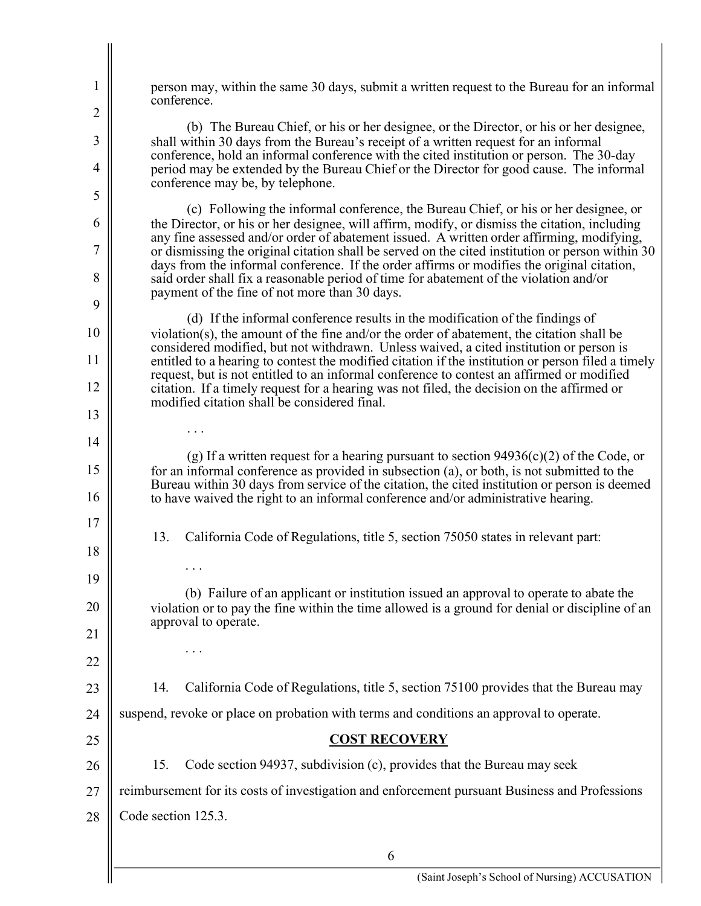$1 \parallel$  person may, within the same 30 days, submit a written request to the Bureau for an informal (b) The Bureau Chief, or his or her designee, or the Director, or his or her designee, conference, hold an informal conference with the cited institution or person. The 30-day  $4 \parallel$  period may be extended by the Bureau Chief or the Director for good cause. The informal (c) Following the informal conference, the Bureau Chief, or his or her designee, or  $6 \parallel$  the Director, or his or her designee, will affirm, modify, or dismiss the citation, including days from the informal conference. If the order affirms or modifies the original citation, 8  $\parallel$  said order shall fix a reasonable period of time for abatement of the violation and/or (d) If the informal conference results in the modification of the findings of considered modified, but not withdrawn. Unless waived, a cited institution or person is 12 citation. If a timely request for a hearing was not filed, the decision on the affirmed or (g) If a written request for a hearing pursuant to section 94936(c)(2) of the Code, or Bureau within 30 days from service of the citation, the cited institution or person is deemed 16 to have waived the right to an informal conference and/or administrative hearing. 13. California Code of Regulations, title 5, section 75050 states in relevant part: (b) Failure of an applicant or institution issued an approval to operate to abate the violation or to pay the fine within the time allowed is a ground for denial or discipline of an 23 || 14. California Code of Regulations, title 5, section 75100 provides that the Bureau may 24  $\parallel$  suspend, revoke or place on probation with terms and conditions an approval to operate. 15. 27 | reimbursement for its costs of investigation and enforcement pursuant Business and Professions 28  $\parallel$  Code section 125.3. 5 10 15 20 25 conference. 2  $3 \parallel$  shall within 30 days from the Bureau's receipt of a written request for an informal conference may be, by telephone. any fine assessed and/or order of abatement issued. A written order affirming, modifying,  $7 \parallel \text{or}$  dismissing the original citation shall be served on the cited institution or person within 30 payment of the fine of not more than 30 days. 9 violation(s), the amount of the fine and/or the order of abatement, the citation shall be 11 entitled to a hearing to contest the modified citation if the institution or person filed a timely request, but is not entitled to an informal conference to contest an affirmed or modified modified citation shall be considered final.  $\begin{array}{|c|c|c|}\n 13 & & \dots \\
\hline\n 14 & & \n\end{array}$ for an informal conference as provided in subsection (a), or both, is not submitted to the 17 18 . . . 19 approval to operate.  $\begin{array}{c|c} 21 & \cdots & \cdots \end{array}$ 22 **COST RECOVERY**  26 | 15. Code section 94937, subdivision (c), provides that the Bureau may seek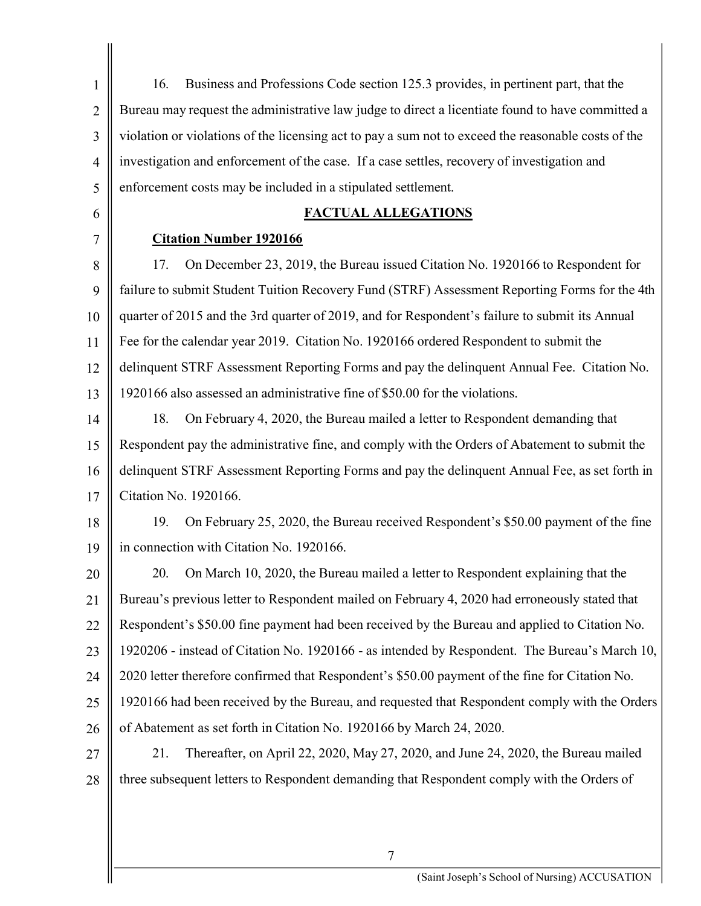| $\mathbf{1}$   | Business and Professions Code section 125.3 provides, in pertinent part, that the<br>16.            |
|----------------|-----------------------------------------------------------------------------------------------------|
| $\overline{2}$ | Bureau may request the administrative law judge to direct a licentiate found to have committed a    |
| 3              | violation or violations of the licensing act to pay a sum not to exceed the reasonable costs of the |
| $\overline{4}$ | investigation and enforcement of the case. If a case settles, recovery of investigation and         |
| 5              | enforcement costs may be included in a stipulated settlement.                                       |
| 6              | <b>FACTUAL ALLEGATIONS</b>                                                                          |
| 7              | <b>Citation Number 1920166</b>                                                                      |
| 8              | 17.<br>On December 23, 2019, the Bureau issued Citation No. 1920166 to Respondent for               |
| 9              | failure to submit Student Tuition Recovery Fund (STRF) Assessment Reporting Forms for the 4th       |
| 10             | quarter of 2015 and the 3rd quarter of 2019, and for Respondent's failure to submit its Annual      |
| 11             | Fee for the calendar year 2019. Citation No. 1920166 ordered Respondent to submit the               |
| 12             | delinquent STRF Assessment Reporting Forms and pay the delinquent Annual Fee. Citation No.          |
| 13             | 1920166 also assessed an administrative fine of \$50.00 for the violations.                         |
| 14             | On February 4, 2020, the Bureau mailed a letter to Respondent demanding that<br>18.                 |
| 15             | Respondent pay the administrative fine, and comply with the Orders of Abatement to submit the       |
| 16             | delinquent STRF Assessment Reporting Forms and pay the delinquent Annual Fee, as set forth in       |
| 17             | Citation No. 1920166.                                                                               |
| 18             | On February 25, 2020, the Bureau received Respondent's \$50.00 payment of the fine<br>19.           |
| 19             | in connection with Citation No. 1920166.                                                            |
| 20             | 20.<br>On March 10, 2020, the Bureau mailed a letter to Respondent explaining that the              |
| 21             | Bureau's previous letter to Respondent mailed on February 4, 2020 had erroneously stated that       |
| 22             | Respondent's \$50.00 fine payment had been received by the Bureau and applied to Citation No.       |
| 23             | 1920206 - instead of Citation No. 1920166 - as intended by Respondent. The Bureau's March 10,       |
| 24             | 2020 letter therefore confirmed that Respondent's \$50.00 payment of the fine for Citation No.      |
| 25             | 1920166 had been received by the Bureau, and requested that Respondent comply with the Orders       |
| 26             | of Abatement as set forth in Citation No. 1920166 by March 24, 2020.                                |
| 27             | Thereafter, on April 22, 2020, May 27, 2020, and June 24, 2020, the Bureau mailed<br>21.            |
| 28             | three subsequent letters to Respondent demanding that Respondent comply with the Orders of          |
|                |                                                                                                     |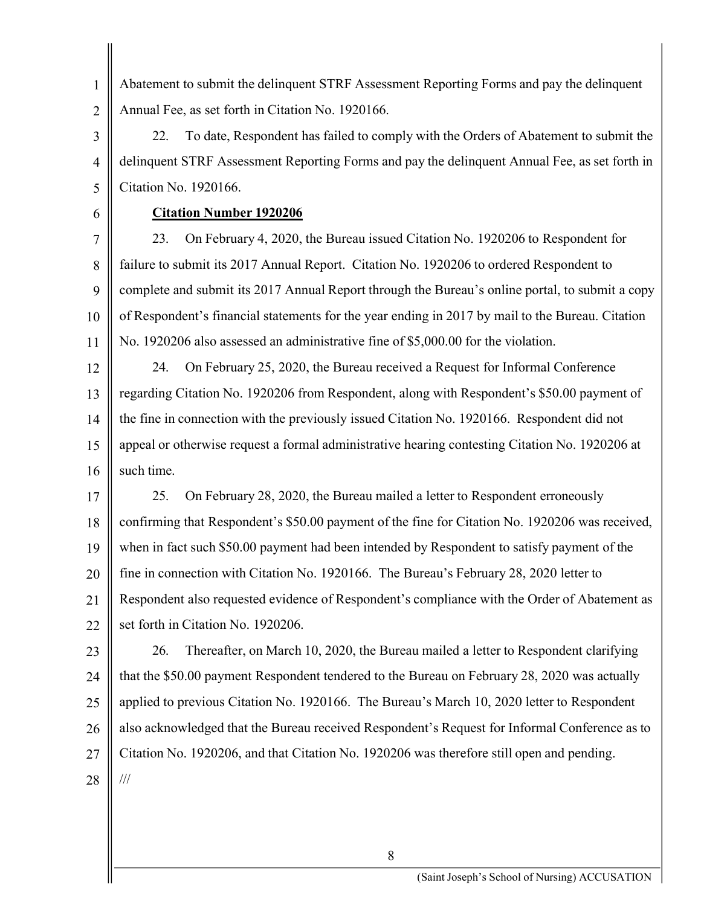1 Abatement to submit the delinquent STRF Assessment Reporting Forms and pay the delinquent 2  $\parallel$  Annual Fee, as set forth in Citation No. 1920166.

22. 4 delinquent STRF Assessment Reporting Forms and pay the delinquent Annual Fee, as set forth in  $5 \parallel$  Citation No. 1920166. 3 22. To date, Respondent has failed to comply with the Orders of Abatement to submit the

## 6 **Citation Number 1920206**

23. 8 | failure to submit its 2017 Annual Report. Citation No. 1920206 to ordered Respondent to 9 || complete and submit its 2017 Annual Report through the Bureau's online portal, to submit a copy 10 | of Respondent's financial statements for the year ending in 2017 by mail to the Bureau. Citation 11 No. 1920206 also assessed an administrative fine of \$[5,000.00](https://5,000.00) for the violation. 7 23. On February 4, 2020, the Bureau issued Citation No. 1920206 to Respondent for

24. 13 | regarding Citation No. 1920206 from Respondent, along with Respondent's \$50.00 payment of 14 | the fine in connection with the previously issued Citation No. 1920166. Respondent did not 15 | appeal or otherwise request a formal administrative hearing contesting Citation No. 1920206 at 16  $\parallel$  such time. 12 24. On February 25, 2020, the Bureau received a Request for Informal Conference

25. 18 | confirming that Respondent's \$50.00 payment of the fine for Citation No. 1920206 was received, 19 when in fact such \$50.00 payment had been intended by Respondent to satisfy payment of the 20 fine in connection with Citation No. 1920166. The Bureau's February 28, 2020 letter to 21 | Respondent also requested evidence of Respondent's compliance with the Order of Abatement as 22  $\parallel$  set forth in Citation No. 1920206. 17 25. On February 28, 2020, the Bureau mailed a letter to Respondent erroneously

23  $\parallel$  26. Thereafter, on March 10, 2020, the Bureau mailed a letter to Respondent clarifying 24  $\parallel$  that the \$50.00 payment Respondent tendered to the Bureau on February 28, 2020 was actually 25 || applied to previous Citation No. 1920166. The Bureau's March 10, 2020 letter to Respondent 26 || also acknowledged that the Bureau received Respondent's Request for Informal Conference as to 27  $\parallel$  Citation No. 1920206, and that Citation No. 1920206 was therefore still open and pending.  $28$  || ///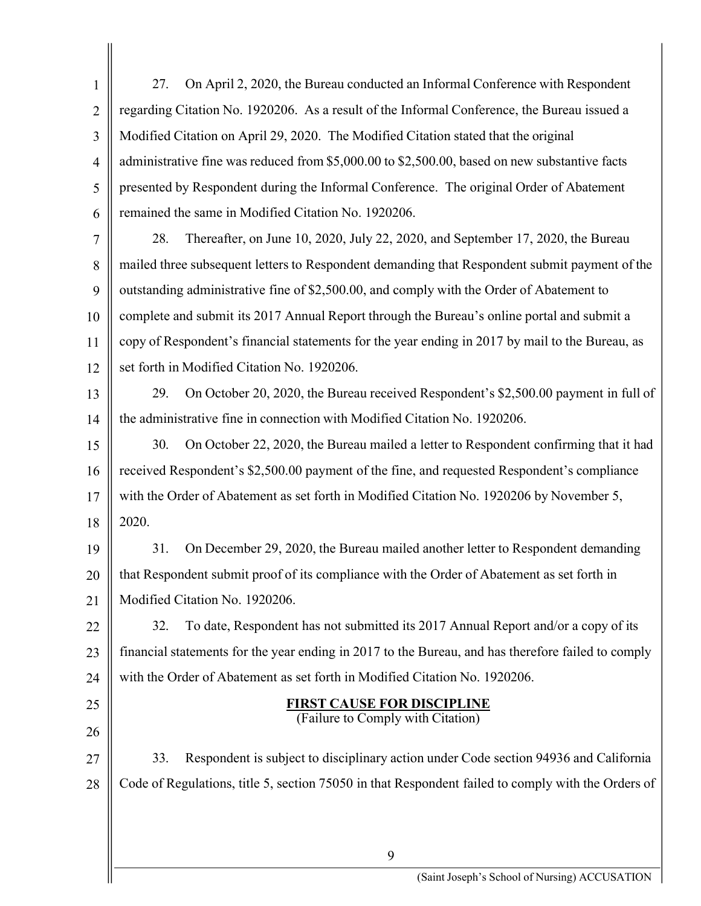| $\mathbf{1}$   | On April 2, 2020, the Bureau conducted an Informal Conference with Respondent<br>27.               |
|----------------|----------------------------------------------------------------------------------------------------|
| $\overline{2}$ | regarding Citation No. 1920206. As a result of the Informal Conference, the Bureau issued a        |
| 3              | Modified Citation on April 29, 2020. The Modified Citation stated that the original                |
| $\overline{4}$ | administrative fine was reduced from \$5,000.00 to \$2,500.00, based on new substantive facts      |
| 5              | presented by Respondent during the Informal Conference. The original Order of Abatement            |
| 6              | remained the same in Modified Citation No. 1920206.                                                |
| 7              | 28.<br>Thereafter, on June 10, 2020, July 22, 2020, and September 17, 2020, the Bureau             |
| 8              | mailed three subsequent letters to Respondent demanding that Respondent submit payment of the      |
| 9              | outstanding administrative fine of \$2,500.00, and comply with the Order of Abatement to           |
| 10             | complete and submit its 2017 Annual Report through the Bureau's online portal and submit a         |
| 11             | copy of Respondent's financial statements for the year ending in 2017 by mail to the Bureau, as    |
| 12             | set forth in Modified Citation No. 1920206.                                                        |
| 13             | On October 20, 2020, the Bureau received Respondent's \$2,500.00 payment in full of<br>29.         |
| 14             | the administrative fine in connection with Modified Citation No. 1920206.                          |
| 15             | On October 22, 2020, the Bureau mailed a letter to Respondent confirming that it had<br>30.        |
| 16             | received Respondent's \$2,500.00 payment of the fine, and requested Respondent's compliance        |
| 17             | with the Order of Abatement as set forth in Modified Citation No. 1920206 by November 5,           |
| 18             | 2020.                                                                                              |
| 19             | On December 29, 2020, the Bureau mailed another letter to Respondent demanding<br>31.              |
| 20             | that Respondent submit proof of its compliance with the Order of Abatement as set forth in         |
| 21             | Modified Citation No. 1920206.                                                                     |
| 22             | To date, Respondent has not submitted its 2017 Annual Report and/or a copy of its<br>32.           |
| 23             | financial statements for the year ending in 2017 to the Bureau, and has therefore failed to comply |
| 24             | with the Order of Abatement as set forth in Modified Citation No. 1920206.                         |
| 25             | <b>FIRST CAUSE FOR DISCIPLINE</b><br>(Failure to Comply with Citation)                             |
| 26             |                                                                                                    |
| 27             | Respondent is subject to disciplinary action under Code section 94936 and California<br>33.        |
| 28             | Code of Regulations, title 5, section 75050 in that Respondent failed to comply with the Orders of |
|                |                                                                                                    |